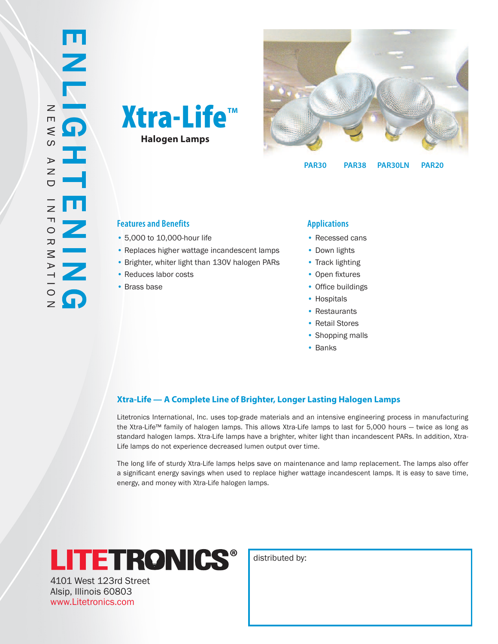



**PAR30 PAR30LN PAR20 PAR38**

## **Features and Benefits Applications**

- 5,000 to 10,000-hour life •
- Replaces higher wattage incandescent lamps
- Brighter, whiter light than 130V halogen PARs
- Reduces labor costs
- Brass base

- Recessed cans
- Down lights
- Track lighting
- Open fixtures
- Office buildings
- Hospitals
- Restaurants
- Retail Stores
- Shopping malls
- Banks

## **Xtra-Life — A Complete Line of Brighter, Longer Lasting Halogen Lamps**

Litetronics International, Inc. uses top-grade materials and an intensive engineering process in manufacturing the Xtra-Life™ family of halogen lamps. This allows Xtra-Life lamps to last for 5,000 hours — twice as long as standard halogen lamps. Xtra-Life lamps have a brighter, whiter light than incandescent PARs. In addition, Xtra-Life lamps do not experience decreased lumen output over time.

The long life of sturdy Xtra-Life lamps helps save on maintenance and lamp replacement. The lamps also offer a significant energy savings when used to replace higher wattage incandescent lamps. It is easy to save time, energy, and money with Xtra-Life halogen lamps.



4101 West 123rd Street Alsip, Illinois 60803 www.Litetronics.com

distributed by: